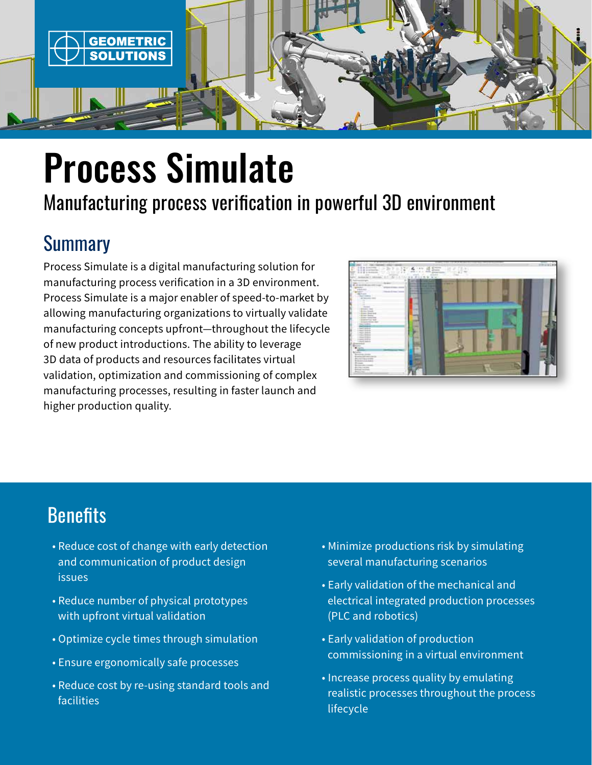

# Process Simulate

# Manufacturing process verification in powerful 3D environment

# **Summary**

Process Simulate is a digital manufacturing solution for manufacturing process verification in a 3D environment. Process Simulate is a major enabler of speed-to-market by allowing manufacturing organizations to virtually validate manufacturing concepts upfront—throughout the lifecycle of new product introductions. The ability to leverage 3D data of products and resources facilitates virtual validation, optimization and commissioning of complex manufacturing processes, resulting in faster launch and higher production quality.



# **Benefits**

- Reduce cost of change with early detection and communication of product design issues
- Reduce number of physical prototypes with upfront virtual validation
- Optimize cycle times through simulation
- Ensure ergonomically safe processes
- Reduce cost by re-using standard tools and facilities
- Minimize productions risk by simulating several manufacturing scenarios
- Early validation of the mechanical and electrical integrated production processes (PLC and robotics)
- Early validation of production commissioning in a virtual environment
- Increase process quality by emulating realistic processes throughout the process lifecycle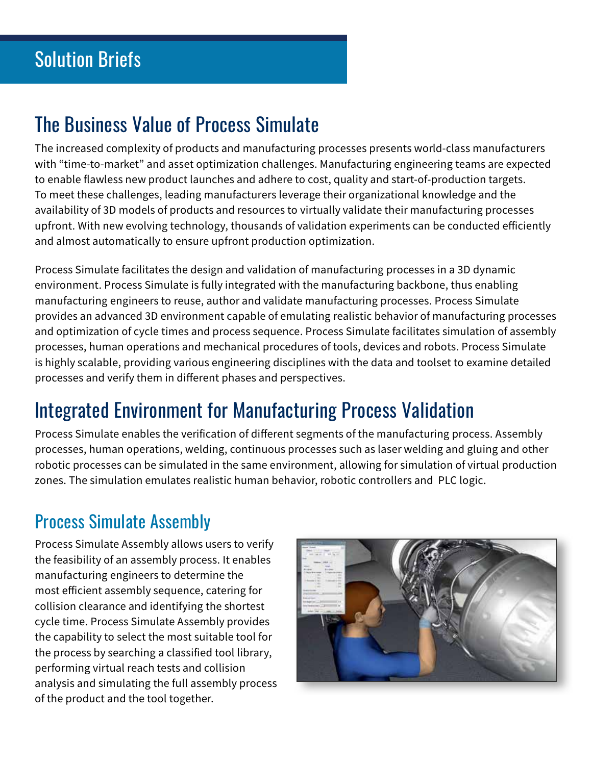# The Business Value of Process Simulate

The increased complexity of products and manufacturing processes presents world-class manufacturers with "time-to-market" and asset optimization challenges. Manufacturing engineering teams are expected to enable flawless new product launches and adhere to cost, quality and start-of-production targets. To meet these challenges, leading manufacturers leverage their organizational knowledge and the availability of 3D models of products and resources to virtually validate their manufacturing processes upfront. With new evolving technology, thousands of validation experiments can be conducted efficiently and almost automatically to ensure upfront production optimization.

Process Simulate facilitates the design and validation of manufacturing processes in a 3D dynamic environment. Process Simulate is fully integrated with the manufacturing backbone, thus enabling manufacturing engineers to reuse, author and validate manufacturing processes. Process Simulate provides an advanced 3D environment capable of emulating realistic behavior of manufacturing processes and optimization of cycle times and process sequence. Process Simulate facilitates simulation of assembly processes, human operations and mechanical procedures of tools, devices and robots. Process Simulate is highly scalable, providing various engineering disciplines with the data and toolset to examine detailed processes and verify them in different phases and perspectives.

# Integrated Environment for Manufacturing Process Validation

Process Simulate enables the verification of different segments of the manufacturing process. Assembly processes, human operations, welding, continuous processes such as laser welding and gluing and other robotic processes can be simulated in the same environment, allowing for simulation of virtual production zones. The simulation emulates realistic human behavior, robotic controllers and PLC logic.

## Process Simulate Assembly

Process Simulate Assembly allows users to verify the feasibility of an assembly process. It enables manufacturing engineers to determine the most efficient assembly sequence, catering for collision clearance and identifying the shortest cycle time. Process Simulate Assembly provides the capability to select the most suitable tool for the process by searching a classified tool library, performing virtual reach tests and collision analysis and simulating the full assembly process of the product and the tool together.

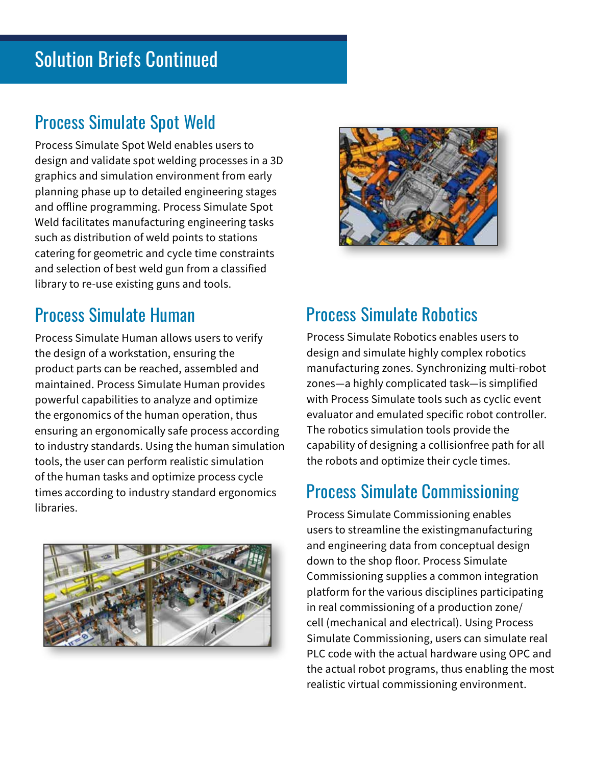## Process Simulate Spot Weld

Process Simulate Spot Weld enables users to design and validate spot welding processes in a 3D graphics and simulation environment from early planning phase up to detailed engineering stages and offline programming. Process Simulate Spot Weld facilitates manufacturing engineering tasks such as distribution of weld points to stations catering for geometric and cycle time constraints and selection of best weld gun from a classified library to re-use existing guns and tools.

## Process Simulate Human

Process Simulate Human allows users to verify the design of a workstation, ensuring the product parts can be reached, assembled and maintained. Process Simulate Human provides powerful capabilities to analyze and optimize the ergonomics of the human operation, thus ensuring an ergonomically safe process according to industry standards. Using the human simulation tools, the user can perform realistic simulation of the human tasks and optimize process cycle times according to industry standard ergonomics libraries.





## Process Simulate Robotics

Process Simulate Robotics enables users to design and simulate highly complex robotics manufacturing zones. Synchronizing multi-robot zones—a highly complicated task—is simplified with Process Simulate tools such as cyclic event evaluator and emulated specific robot controller. The robotics simulation tools provide the capability of designing a collisionfree path for all the robots and optimize their cycle times.

#### Process Simulate Commissioning

Process Simulate Commissioning enables users to streamline the existingmanufacturing and engineering data from conceptual design down to the shop floor. Process Simulate Commissioning supplies a common integration platform for the various disciplines participating in real commissioning of a production zone/ cell (mechanical and electrical). Using Process Simulate Commissioning, users can simulate real PLC code with the actual hardware using OPC and the actual robot programs, thus enabling the most realistic virtual commissioning environment.